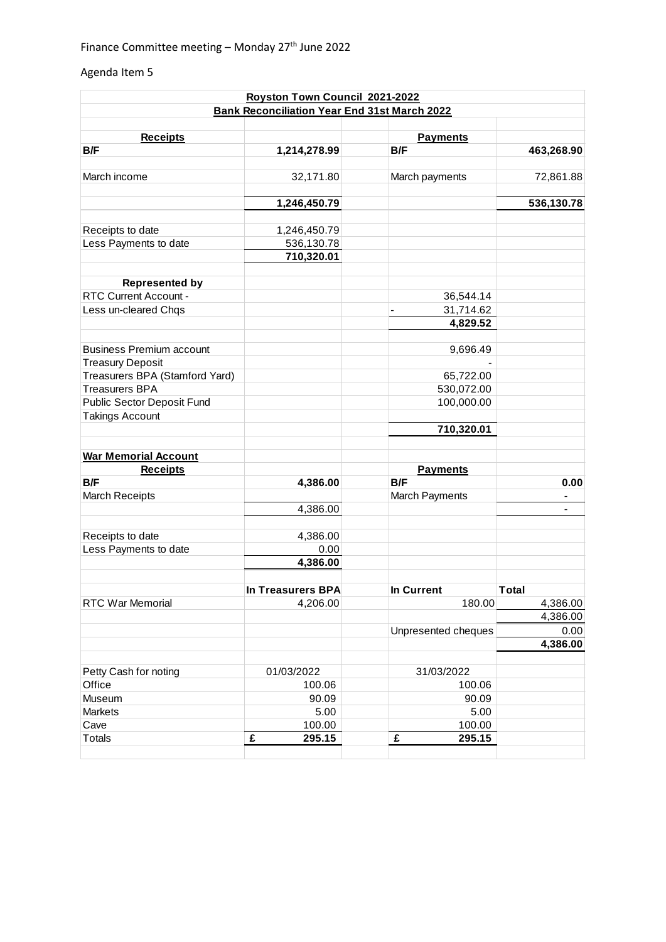## Agenda Item 5

|                                 | Royston Town Council 2021-2022                      |                        |              |
|---------------------------------|-----------------------------------------------------|------------------------|--------------|
|                                 | <b>Bank Reconciliation Year End 31st March 2022</b> |                        |              |
|                                 |                                                     |                        |              |
| <b>Receipts</b><br>B/F          | 1,214,278.99                                        | <b>Payments</b><br>B/F | 463,268.90   |
|                                 |                                                     |                        |              |
| March income                    | 32,171.80                                           | March payments         | 72,861.88    |
|                                 | 1,246,450.79                                        |                        | 536,130.78   |
| Receipts to date                | 1,246,450.79                                        |                        |              |
| Less Payments to date           | 536,130.78                                          |                        |              |
|                                 | 710,320.01                                          |                        |              |
| <b>Represented by</b>           |                                                     |                        |              |
| <b>RTC Current Account -</b>    |                                                     | 36,544.14              |              |
| Less un-cleared Chqs            |                                                     | 31,714.62              |              |
|                                 |                                                     | 4,829.52               |              |
|                                 |                                                     |                        |              |
| <b>Business Premium account</b> |                                                     | 9,696.49               |              |
| <b>Treasury Deposit</b>         |                                                     |                        |              |
| Treasurers BPA (Stamford Yard)  |                                                     | 65,722.00              |              |
| <b>Treasurers BPA</b>           |                                                     | 530,072.00             |              |
| Public Sector Deposit Fund      |                                                     | 100,000.00             |              |
| <b>Takings Account</b>          |                                                     |                        |              |
|                                 |                                                     | 710,320.01             |              |
| <b>War Memorial Account</b>     |                                                     |                        |              |
| <b>Receipts</b>                 |                                                     | <b>Payments</b>        |              |
| <b>B/F</b>                      | 4,386.00                                            | B/F                    | 0.00         |
| <b>March Receipts</b>           |                                                     | <b>March Payments</b>  |              |
|                                 | 4,386.00                                            |                        |              |
|                                 |                                                     |                        |              |
| Receipts to date                | 4,386.00                                            |                        |              |
| Less Payments to date           | 0.00                                                |                        |              |
|                                 | 4,386.00                                            |                        |              |
|                                 | In Treasurers BPA                                   | In Current             | <b>Total</b> |
| RTC War Memorial                | 4,206.00                                            | 180.00                 | 4,386.00     |
|                                 |                                                     |                        | 4,386.00     |
|                                 |                                                     | Unpresented cheques    | 0.00         |
|                                 |                                                     |                        | 4,386.00     |
|                                 |                                                     |                        |              |
| Petty Cash for noting           | 01/03/2022                                          | 31/03/2022             |              |
| Office                          | 100.06                                              | 100.06                 |              |
| Museum                          | 90.09                                               | 90.09                  |              |
| Markets                         | 5.00                                                | 5.00                   |              |
| Cave                            | 100.00                                              | 100.00                 |              |
| <b>Totals</b>                   | £<br>295.15                                         | £<br>295.15            |              |
|                                 |                                                     |                        |              |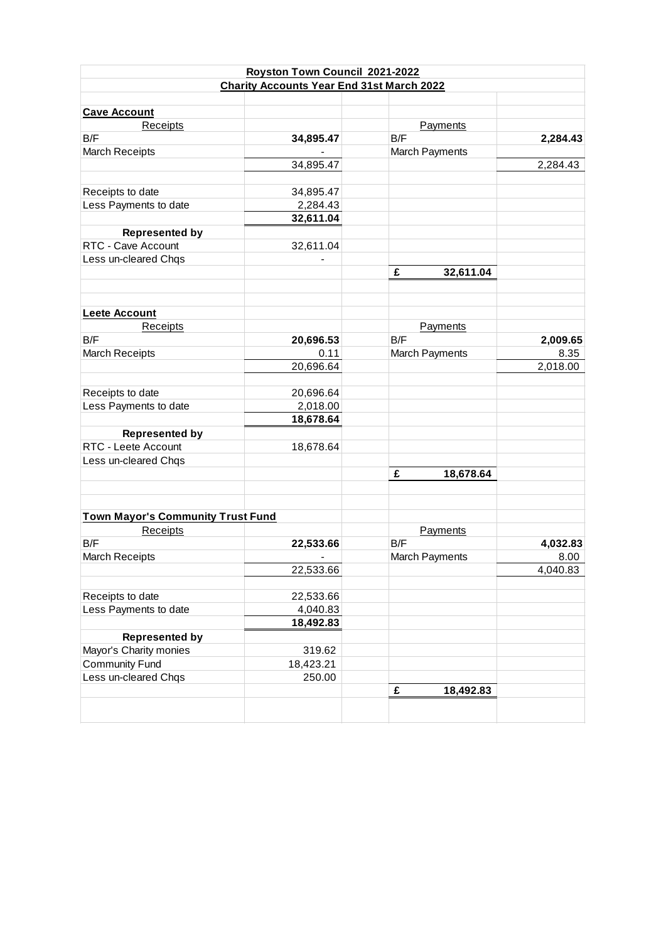|                                          | Royston Town Council 2021-2022                   |                       |          |
|------------------------------------------|--------------------------------------------------|-----------------------|----------|
|                                          | <b>Charity Accounts Year End 31st March 2022</b> |                       |          |
|                                          |                                                  |                       |          |
| <b>Cave Account</b>                      |                                                  |                       |          |
| Receipts                                 |                                                  | Payments              |          |
| B/F                                      | 34,895.47                                        | B/F                   | 2,284.43 |
| <b>March Receipts</b>                    |                                                  | March Payments        |          |
|                                          | 34,895.47                                        |                       | 2,284.43 |
| Receipts to date                         | 34,895.47                                        |                       |          |
| Less Payments to date                    | 2,284.43                                         |                       |          |
|                                          | 32,611.04                                        |                       |          |
| <b>Represented by</b>                    |                                                  |                       |          |
| RTC - Cave Account                       | 32,611.04                                        |                       |          |
| Less un-cleared Chqs                     |                                                  |                       |          |
|                                          |                                                  | £<br>32,611.04        |          |
|                                          |                                                  |                       |          |
| <b>Leete Account</b>                     |                                                  |                       |          |
| Receipts                                 |                                                  | Payments              |          |
| B/F                                      | 20,696.53                                        | B/F                   | 2,009.65 |
| <b>March Receipts</b>                    | 0.11                                             |                       | 8.35     |
|                                          | 20,696.64                                        | March Payments        | 2,018.00 |
|                                          |                                                  |                       |          |
|                                          |                                                  |                       |          |
| Receipts to date                         | 20,696.64                                        |                       |          |
| Less Payments to date                    | 2,018.00<br>18,678.64                            |                       |          |
|                                          |                                                  |                       |          |
| <b>Represented by</b>                    |                                                  |                       |          |
| RTC - Leete Account                      | 18,678.64                                        |                       |          |
| Less un-cleared Chqs                     |                                                  |                       |          |
|                                          |                                                  | £<br>18,678.64        |          |
|                                          |                                                  |                       |          |
| <b>Town Mayor's Community Trust Fund</b> |                                                  |                       |          |
| <b>Receipts</b>                          |                                                  | Payments              |          |
| B/F                                      | 22,533.66                                        | B/F                   | 4,032.83 |
| <b>March Receipts</b>                    |                                                  | <b>March Payments</b> | 8.00     |
|                                          | 22,533.66                                        |                       | 4,040.83 |
| Receipts to date                         | 22,533.66                                        |                       |          |
| Less Payments to date                    | 4,040.83                                         |                       |          |
|                                          | 18,492.83                                        |                       |          |
| <b>Represented by</b>                    |                                                  |                       |          |
| Mayor's Charity monies                   | 319.62                                           |                       |          |
| <b>Community Fund</b>                    | 18,423.21                                        |                       |          |
| Less un-cleared Chqs                     | 250.00                                           |                       |          |
|                                          |                                                  | £<br>18,492.83        |          |
|                                          |                                                  |                       |          |
|                                          |                                                  |                       |          |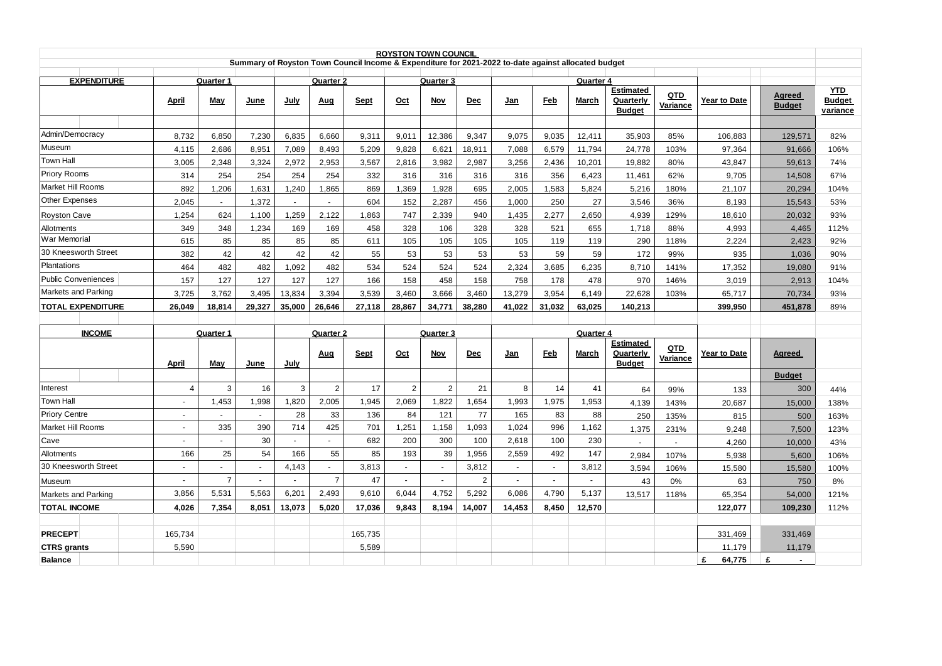| <b>ROYSTON TOWN COUNCIL</b><br>Summary of Royston Town Council Income & Expenditure for 2021-2022 to-date against allocated budget |                |                                |                |                |                                    |             |                |                         |                |                |            |                           |                                                |                 |              |                         |                                                |
|------------------------------------------------------------------------------------------------------------------------------------|----------------|--------------------------------|----------------|----------------|------------------------------------|-------------|----------------|-------------------------|----------------|----------------|------------|---------------------------|------------------------------------------------|-----------------|--------------|-------------------------|------------------------------------------------|
|                                                                                                                                    |                |                                |                |                |                                    |             |                |                         |                |                |            |                           |                                                |                 |              |                         |                                                |
| <b>EXPENDITURE</b>                                                                                                                 | <b>April</b>   | <b>Quarter 1</b><br><b>May</b> | June           | <u>July</u>    | Quarter <sub>2</sub><br><u>Aug</u> | <b>Sept</b> | Oct            | Quarter 3<br><b>Nov</b> | <b>Dec</b>     | <u>Jan</u>     | <b>Feb</b> | Quarter 4<br><b>March</b> | <b>Estimated</b><br>Quarterly<br><b>Budget</b> | QTD<br>Variance | Year to Date | Agreed<br><b>Budget</b> | <b>YTD</b><br><b>Budget</b><br><u>variance</u> |
|                                                                                                                                    |                |                                |                |                |                                    |             |                |                         |                |                |            |                           |                                                |                 |              |                         |                                                |
| Admin/Democracy                                                                                                                    | 8,732          | 6,850                          | 7,230          | 6,835          | 6,660                              | 9,311       | 9,011          | 12,386                  | 9,347          | 9,075          | 9,035      | 12,411                    | 35,903                                         | 85%             | 106,883      | 129,571                 | 82%                                            |
| Museum                                                                                                                             | 4,115          | 2.686                          | 8,951          | 7.089          | 8,493                              | 5,209       | 9.828          | 6,621                   | 18,911         | 7.088          | 6,579      | 11,794                    | 24,778                                         | 103%            | 97,364       | 91,666                  | 106%                                           |
| <b>Town Hall</b>                                                                                                                   | 3,005          | 2,348                          | 3,324          | 2,972          | 2,953                              | 3,567       | 2,816          | 3,982                   | 2,987          | 3,256          | 2,436      | 10,201                    | 19,882                                         | 80%             | 43,847       | 59,613                  | 74%                                            |
| Priory Rooms                                                                                                                       | 314            | 254                            | 254            | 254            | 254                                | 332         | 316            | 316                     | 316            | 316            | 356        | 6,423                     | 11,461                                         | 62%             | 9,705        | 14,508                  | 67%                                            |
| <b>Market Hill Rooms</b>                                                                                                           | 892            | 1,206                          | 1,631          | 1.240          | 1,865                              | 869         | 1,369          | 1,928                   | 695            | 2,005          | 1,583      | 5,824                     | 5,216                                          | 180%            | 21,107       | 20,294                  | 104%                                           |
| <b>Other Expenses</b>                                                                                                              | 2,045          |                                | 1,372          | $\blacksquare$ |                                    | 604         | 152            | 2,287                   | 456            | 1,000          | 250        | 27                        | 3,546                                          | 36%             | 8,193        | 15,543                  | 53%                                            |
| <b>Royston Cave</b>                                                                                                                | 1,254          | 624                            | 1,100          | 1,259          | 2,122                              | 1,863       | 747            | 2,339                   | 940            | 1,435          | 2,277      | 2,650                     | 4,939                                          | 129%            | 18,610       | 20,032                  | 93%                                            |
| Allotments                                                                                                                         | 349            | 348                            | 1,234          | 169            | 169                                | 458         | 328            | 106                     | 328            | 328            | 521        | 655                       | 1,718                                          | 88%             | 4,993        | 4,465                   | 112%                                           |
| War Memorial                                                                                                                       | 615            | 85                             | 85             | 85             | 85                                 | 611         | 105            | 105                     | 105            | 105            | 119        | 119                       | 290                                            | 118%            | 2,224        | 2,423                   | 92%                                            |
| 30 Kneesworth Street                                                                                                               | 382            | 42                             | 42             | 42             | 42                                 | 55          | 53             | 53                      | 53             | 53             | 59         | 59                        | 172                                            | 99%             | 935          | 1,036                   | 90%                                            |
| Plantations                                                                                                                        | 464            | 482                            | 482            | 1.092          | 482                                | 534         | 524            | 524                     | 524            | 2,324          | 3,685      | 6,235                     | 8,710                                          | 141%            | 17,352       | 19,080                  | 91%                                            |
| <b>Public Conveniences</b>                                                                                                         | 157            | 127                            | 127            | 127            | 127                                | 166         | 158            | 458                     | 158            | 758            | 178        | 478                       | 970                                            | 146%            | 3,019        | 2,913                   | 104%                                           |
| Markets and Parking                                                                                                                | 3,725          | 3,762                          | 3,495          | 13,834         | 3,394                              | 3,539       | 3,460          | 3,666                   | 3,460          | 13,279         | 3,954      | 6,149                     | 22,628                                         | 103%            | 65,717       | 70,734                  | 93%                                            |
| <b>TOTAL EXPENDITURE</b>                                                                                                           | 26,049         | 18,814                         | 29,327         | 35,000         | 26,646                             | 27,118      | 28,867         | 34,771                  | 38,280         | 41,022         | 31,032     | 63,025                    | 140,213                                        |                 | 399,950      | 451,878                 | 89%                                            |
|                                                                                                                                    |                |                                |                |                |                                    |             |                |                         |                |                |            |                           |                                                |                 |              |                         |                                                |
| <b>INCOME</b>                                                                                                                      |                | <b>Quarter 1</b>               |                |                | Quarter 2                          |             |                | Quarter 3               |                |                |            | Quarter 4                 |                                                |                 |              |                         |                                                |
|                                                                                                                                    | April          | May                            | June           | July           | Aug                                | Sept        | Oct            | Nov                     | <b>Dec</b>     | Jan            | <b>Feb</b> | March                     | <b>Estimated</b><br>Quarterly<br><b>Budget</b> | QTD<br>Variance | Year to Date | Agreed                  |                                                |
|                                                                                                                                    |                |                                |                |                |                                    |             |                |                         |                |                |            |                           |                                                |                 |              | <b>Budget</b>           |                                                |
| Interest                                                                                                                           | $\overline{4}$ | 3                              | 16             | 3              | $\overline{2}$                     | 17          | $\overline{2}$ | $\overline{2}$          | 21             | 8              | 14         | 41                        | 64                                             | 99%             | 133          | 300                     | 44%                                            |
| <b>Town Hall</b>                                                                                                                   | $\blacksquare$ | 1,453                          | 1,998          | 1,820          | 2,005                              | 1,945       | 2,069          | 1,822                   | 1,654          | 1,993          | 1,975      | 1,953                     | 4,139                                          | 143%            | 20,687       | 15,000                  | 138%                                           |
| <b>Priory Centre</b>                                                                                                               | $\blacksquare$ |                                | $\mathbf{r}$   | 28             | 33                                 | 136         | 84             | 121                     | 77             | 165            | 83         | 88                        | 250                                            | 135%            | 815          | 500                     | 163%                                           |
| Market Hill Rooms                                                                                                                  | $\mathbf{r}$   | 335                            | 390            | 714            | 425                                | 701         | 1,251          | 1,158                   | 1,093          | 1,024          | 996        | 1,162                     | 1,375                                          | 231%            | 9,248        | 7,500                   | 123%                                           |
| Cave                                                                                                                               | ÷              |                                | 30             |                |                                    | 682         | 200            | 300                     | 100            | 2,618          | 100        | 230                       |                                                |                 | 4,260        | 10,000                  | 43%                                            |
| Allotments                                                                                                                         | 166            | 25                             | 54             | 166            | 55                                 | 85          | 193            | 39                      | 1,956          | 2,559          | 492        | 147                       | 2,984                                          | 107%            | 5,938        | 5,600                   | 106%                                           |
| 30 Kneesworth Street                                                                                                               | $\blacksquare$ |                                | $\blacksquare$ | 4,143          |                                    | 3,813       |                |                         | 3,812          |                |            | 3,812                     | 3,594                                          | 106%            | 15,580       | 15,580                  | 100%                                           |
| Museum                                                                                                                             |                | $\overline{7}$                 | $\overline{a}$ |                | $\overline{7}$                     | 47          | $\sim$         |                         | $\overline{2}$ | $\overline{a}$ |            | ÷.                        | 43                                             | 0%              | 63           | 750                     | 8%                                             |
| Markets and Parking                                                                                                                | 3,856          | 5,531                          | 5,563          | 6,201          | 2,493                              | 9,610       | 6,044          | 4,752                   | 5,292          | 6,086          | 4,790      | 5,137                     | 13,517                                         | 118%            | 65,354       | 54,000                  | 121%                                           |
| <b>TOTAL INCOME</b>                                                                                                                | 4,026          | 7,354                          | 8,051          | 13,073         | 5,020                              | 17,036      | 9,843          | 8,194                   | 14,007         | 14,453         | 8,450      | 12,570                    |                                                |                 | 122,077      | 109,230                 | 112%                                           |
|                                                                                                                                    |                |                                |                |                |                                    |             |                |                         |                |                |            |                           |                                                |                 |              |                         |                                                |
| <b>PRECEPT</b>                                                                                                                     | 165,734        |                                |                |                |                                    | 165,735     |                |                         |                |                |            |                           |                                                |                 | 331,469      | 331,469                 |                                                |
| <b>CTRS</b> grants                                                                                                                 | 5.590          |                                |                |                |                                    | 5,589       |                |                         |                |                |            |                           |                                                |                 | 11.179       | 11,179                  |                                                |
| <b>Balance</b>                                                                                                                     |                |                                |                |                |                                    |             |                |                         |                |                |            |                           |                                                |                 | £<br>64,775  | £                       |                                                |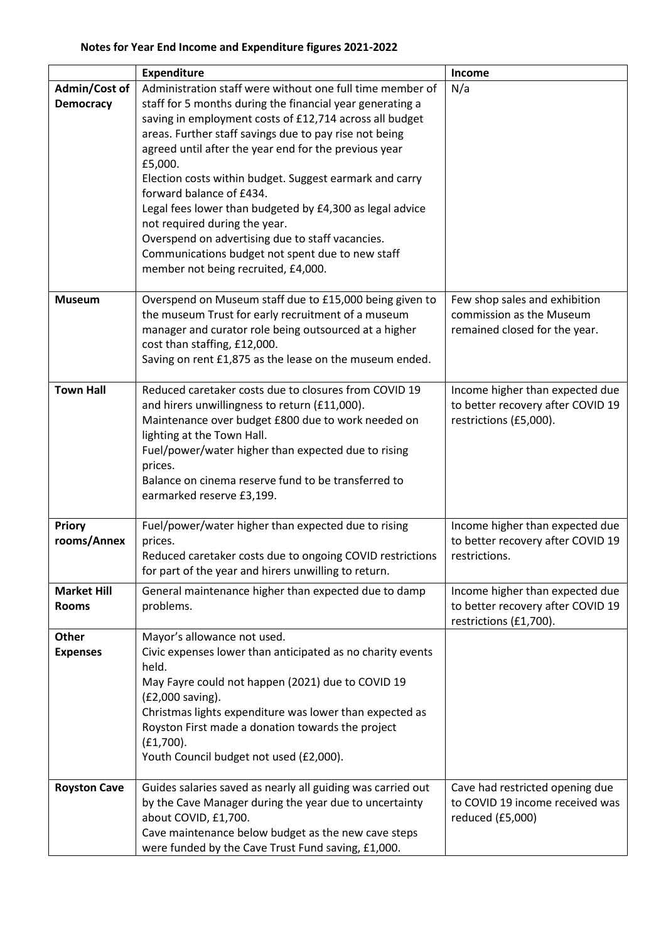|                                    | <b>Expenditure</b>                                                                                                                                                                                                                                                                                                                                                                                                                                                                                                                                                                                                                                 | Income                                                                                         |
|------------------------------------|----------------------------------------------------------------------------------------------------------------------------------------------------------------------------------------------------------------------------------------------------------------------------------------------------------------------------------------------------------------------------------------------------------------------------------------------------------------------------------------------------------------------------------------------------------------------------------------------------------------------------------------------------|------------------------------------------------------------------------------------------------|
| Admin/Cost of<br><b>Democracy</b>  | Administration staff were without one full time member of<br>staff for 5 months during the financial year generating a<br>saving in employment costs of £12,714 across all budget<br>areas. Further staff savings due to pay rise not being<br>agreed until after the year end for the previous year<br>£5,000.<br>Election costs within budget. Suggest earmark and carry<br>forward balance of £434.<br>Legal fees lower than budgeted by £4,300 as legal advice<br>not required during the year.<br>Overspend on advertising due to staff vacancies.<br>Communications budget not spent due to new staff<br>member not being recruited, £4,000. | N/a                                                                                            |
| <b>Museum</b>                      | Overspend on Museum staff due to £15,000 being given to<br>the museum Trust for early recruitment of a museum<br>manager and curator role being outsourced at a higher<br>cost than staffing, £12,000.<br>Saving on rent £1,875 as the lease on the museum ended.                                                                                                                                                                                                                                                                                                                                                                                  | Few shop sales and exhibition<br>commission as the Museum<br>remained closed for the year.     |
| <b>Town Hall</b>                   | Reduced caretaker costs due to closures from COVID 19<br>and hirers unwillingness to return (£11,000).<br>Maintenance over budget £800 due to work needed on<br>lighting at the Town Hall.<br>Fuel/power/water higher than expected due to rising<br>prices.<br>Balance on cinema reserve fund to be transferred to<br>earmarked reserve £3,199.                                                                                                                                                                                                                                                                                                   | Income higher than expected due<br>to better recovery after COVID 19<br>restrictions (£5,000). |
| <b>Priory</b><br>rooms/Annex       | Fuel/power/water higher than expected due to rising<br>prices.<br>Reduced caretaker costs due to ongoing COVID restrictions<br>for part of the year and hirers unwilling to return.                                                                                                                                                                                                                                                                                                                                                                                                                                                                | Income higher than expected due<br>to better recovery after COVID 19<br>restrictions.          |
| <b>Market Hill</b><br><b>Rooms</b> | General maintenance higher than expected due to damp<br>problems.                                                                                                                                                                                                                                                                                                                                                                                                                                                                                                                                                                                  | Income higher than expected due<br>to better recovery after COVID 19<br>restrictions (£1,700). |
| <b>Other</b><br><b>Expenses</b>    | Mayor's allowance not used.<br>Civic expenses lower than anticipated as no charity events<br>held.<br>May Fayre could not happen (2021) due to COVID 19<br>(£2,000 saving).<br>Christmas lights expenditure was lower than expected as<br>Royston First made a donation towards the project<br>$(E1,700)$ .<br>Youth Council budget not used (£2,000).                                                                                                                                                                                                                                                                                             |                                                                                                |
| <b>Royston Cave</b>                | Guides salaries saved as nearly all guiding was carried out<br>by the Cave Manager during the year due to uncertainty<br>about COVID, £1,700.<br>Cave maintenance below budget as the new cave steps<br>were funded by the Cave Trust Fund saving, £1,000.                                                                                                                                                                                                                                                                                                                                                                                         | Cave had restricted opening due<br>to COVID 19 income received was<br>reduced (£5,000)         |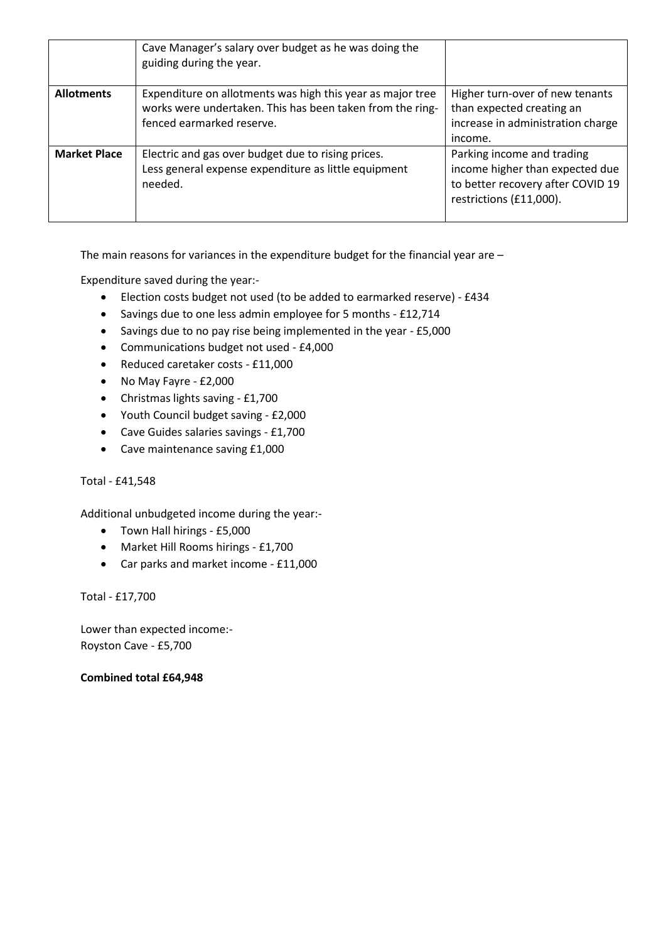|                     | Cave Manager's salary over budget as he was doing the<br>guiding during the year.                                                                    |                                                                                                                               |
|---------------------|------------------------------------------------------------------------------------------------------------------------------------------------------|-------------------------------------------------------------------------------------------------------------------------------|
| <b>Allotments</b>   | Expenditure on allotments was high this year as major tree<br>works were undertaken. This has been taken from the ring-<br>fenced earmarked reserve. | Higher turn-over of new tenants<br>than expected creating an<br>increase in administration charge<br>income.                  |
| <b>Market Place</b> | Electric and gas over budget due to rising prices.<br>Less general expense expenditure as little equipment<br>needed.                                | Parking income and trading<br>income higher than expected due<br>to better recovery after COVID 19<br>restrictions (£11,000). |

The main reasons for variances in the expenditure budget for the financial year are –

Expenditure saved during the year:-

- Election costs budget not used (to be added to earmarked reserve) £434
- Savings due to one less admin employee for 5 months £12,714
- Savings due to no pay rise being implemented in the year £5,000
- Communications budget not used £4,000
- Reduced caretaker costs £11,000
- No May Fayre £2,000
- Christmas lights saving £1,700
- Youth Council budget saving £2,000
- Cave Guides salaries savings £1,700
- Cave maintenance saving £1,000

## Total - £41,548

Additional unbudgeted income during the year:-

- Town Hall hirings £5,000
- Market Hill Rooms hirings £1,700
- Car parks and market income £11,000

Total - £17,700

Lower than expected income:- Royston Cave - £5,700

## **Combined total £64,948**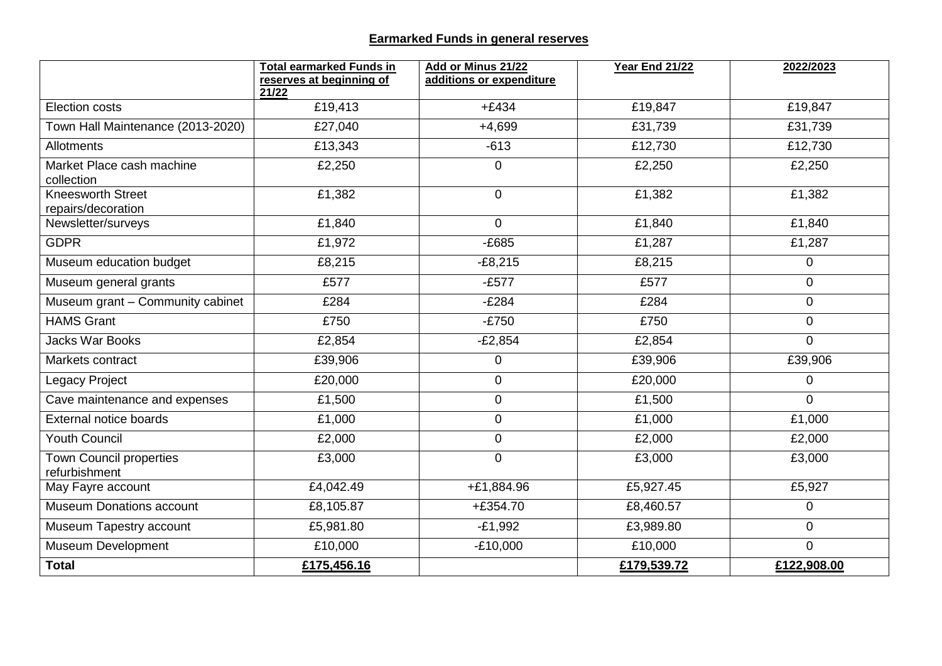## **Earmarked Funds in general reserves**

|                                                 | <b>Total earmarked Funds in</b><br>reserves at beginning of | Add or Minus 21/22<br>additions or expenditure | <b>Year End 21/22</b> | 2022/2023      |
|-------------------------------------------------|-------------------------------------------------------------|------------------------------------------------|-----------------------|----------------|
|                                                 | 21/22                                                       |                                                |                       |                |
| <b>Election costs</b>                           | £19,413                                                     | $+£434$                                        | £19,847               | £19,847        |
| Town Hall Maintenance (2013-2020)               | £27,040                                                     | $+4,699$                                       | £31,739               | £31,739        |
| Allotments                                      | £13,343                                                     | $-613$                                         | £12,730               | £12,730        |
| Market Place cash machine<br>collection         | £2,250                                                      | $\overline{0}$                                 | £2,250                | £2,250         |
| <b>Kneesworth Street</b><br>repairs/decoration  | £1,382                                                      | $\overline{0}$                                 | £1,382                | £1,382         |
| Newsletter/surveys                              | £1,840                                                      | $\Omega$                                       | £1,840                | £1,840         |
| <b>GDPR</b>                                     | £1,972                                                      | $-E685$                                        | £1,287                | £1,287         |
| Museum education budget                         | £8,215                                                      | $-E8,215$                                      | £8,215                | 0              |
| Museum general grants                           | £577                                                        | $-E577$                                        | £577                  | $\mathbf 0$    |
| Museum grant - Community cabinet                | £284                                                        | $-E284$                                        | £284                  | $\mathbf 0$    |
| <b>HAMS Grant</b>                               | £750                                                        | $-E750$                                        | £750                  | $\mathbf 0$    |
| <b>Jacks War Books</b>                          | £2,854                                                      | $-E2,854$                                      | £2,854                | $\overline{0}$ |
| Markets contract                                | £39,906                                                     | $\mathbf 0$                                    | £39,906               | £39,906        |
| Legacy Project                                  | £20,000                                                     | $\mathbf 0$                                    | £20,000               | $\overline{0}$ |
| Cave maintenance and expenses                   | £1,500                                                      | $\pmb{0}$                                      | £1,500                | $\overline{0}$ |
| <b>External notice boards</b>                   | £1,000                                                      | $\pmb{0}$                                      | £1,000                | £1,000         |
| <b>Youth Council</b>                            | £2,000                                                      | $\mathbf 0$                                    | £2,000                | £2,000         |
| <b>Town Council properties</b><br>refurbishment | £3,000                                                      | $\mathbf 0$                                    | £3,000                | £3,000         |
| May Fayre account                               | £4,042.49                                                   | +£1,884.96                                     | £5,927.45             | £5,927         |
| <b>Museum Donations account</b>                 | £8,105.87                                                   | $+£354.70$                                     | £8,460.57             | $\overline{0}$ |
| Museum Tapestry account                         | £5,981.80                                                   | $-E1,992$                                      | £3,989.80             | $\overline{0}$ |
| Museum Development                              | £10,000                                                     | $-£10,000$                                     | £10,000               | $\Omega$       |
| <b>Total</b>                                    | £175,456.16                                                 |                                                | £179,539.72           | £122,908.00    |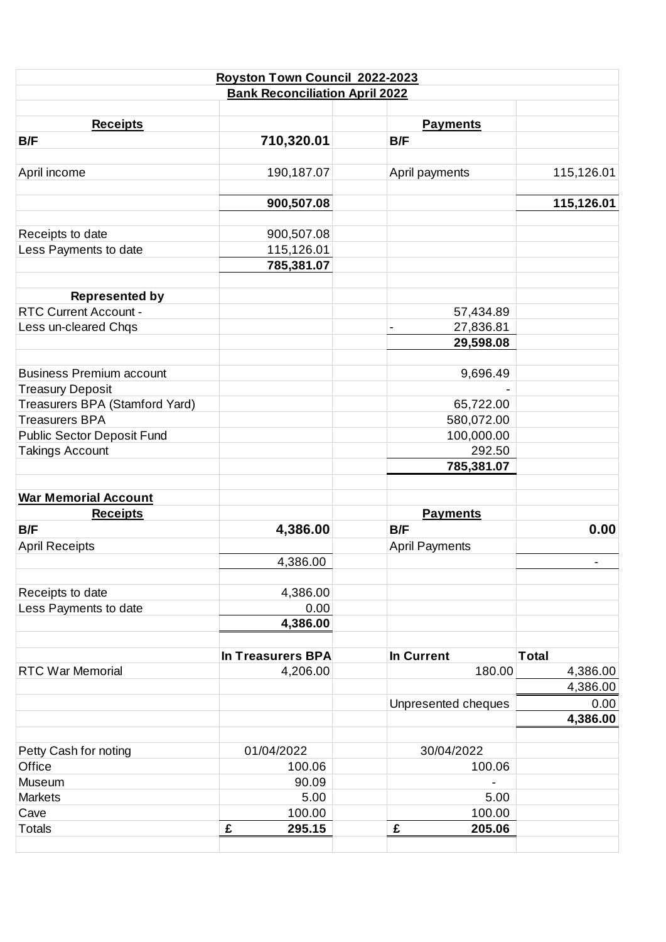|                                   | Royston Town Council 2022-2023        |                       |              |
|-----------------------------------|---------------------------------------|-----------------------|--------------|
|                                   | <b>Bank Reconciliation April 2022</b> |                       |              |
|                                   |                                       |                       |              |
| <b>Receipts</b>                   |                                       | <b>Payments</b>       |              |
| B/F                               | 710,320.01                            | B/F                   |              |
| April income                      | 190,187.07                            | April payments        | 115,126.01   |
|                                   |                                       |                       |              |
|                                   | 900,507.08                            |                       | 115,126.01   |
| Receipts to date                  | 900,507.08                            |                       |              |
| Less Payments to date             | 115,126.01                            |                       |              |
|                                   | 785,381.07                            |                       |              |
| <b>Represented by</b>             |                                       |                       |              |
| <b>RTC Current Account -</b>      |                                       | 57,434.89             |              |
| Less un-cleared Chqs              |                                       | 27,836.81             |              |
|                                   |                                       | 29,598.08             |              |
| <b>Business Premium account</b>   |                                       | 9,696.49              |              |
| <b>Treasury Deposit</b>           |                                       |                       |              |
| Treasurers BPA (Stamford Yard)    |                                       | 65,722.00             |              |
| <b>Treasurers BPA</b>             |                                       | 580,072.00            |              |
| <b>Public Sector Deposit Fund</b> |                                       | 100,000.00            |              |
| <b>Takings Account</b>            |                                       | 292.50                |              |
|                                   |                                       | 785,381.07            |              |
|                                   |                                       |                       |              |
| <b>War Memorial Account</b>       |                                       |                       |              |
| <b>Receipts</b>                   |                                       | <b>Payments</b>       |              |
| B/F                               | 4,386.00                              | B/F                   | 0.00         |
| <b>April Receipts</b>             |                                       | <b>April Payments</b> |              |
|                                   | 4,386.00                              |                       |              |
| Receipts to date                  | 4,386.00                              |                       |              |
| Less Payments to date             | 0.00                                  |                       |              |
|                                   | 4,386.00                              |                       |              |
|                                   | <b>In Treasurers BPA</b>              | <b>In Current</b>     | <b>Total</b> |
| <b>RTC War Memorial</b>           | 4,206.00                              | 180.00                | 4,386.00     |
|                                   |                                       |                       | 4,386.00     |
|                                   |                                       | Unpresented cheques   | 0.00         |
|                                   |                                       |                       | 4,386.00     |
| Petty Cash for noting             | 01/04/2022                            | 30/04/2022            |              |
| Office                            | 100.06                                | 100.06                |              |
| Museum                            | 90.09                                 |                       |              |
| <b>Markets</b>                    | 5.00                                  | 5.00                  |              |
| Cave                              | 100.00                                | 100.00                |              |
| <b>Totals</b>                     | £<br>295.15                           | 205.06<br>£           |              |
|                                   |                                       |                       |              |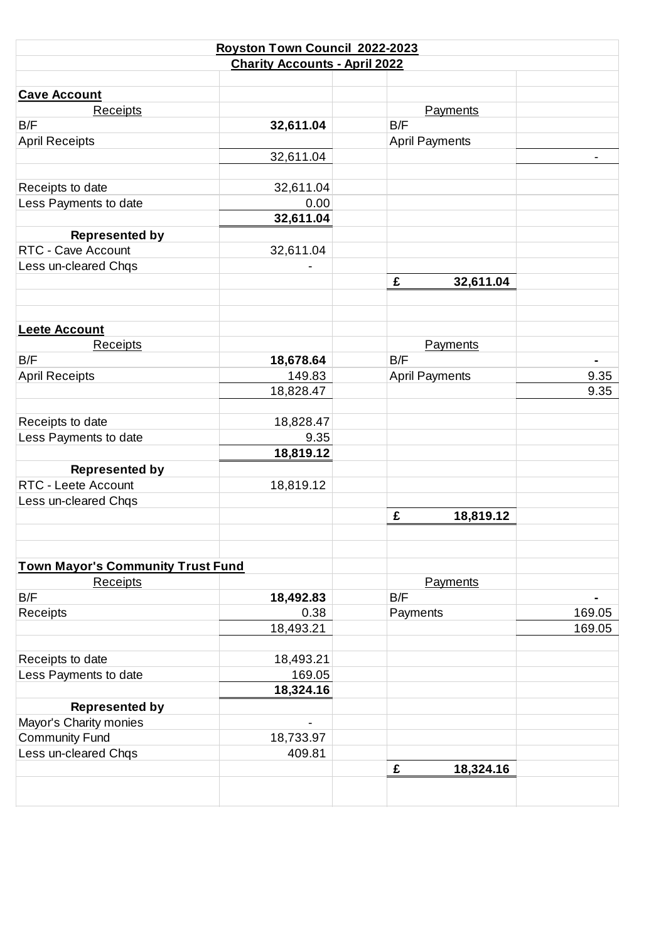|                                          | Royston Town Council 2022-2023       |                       |        |
|------------------------------------------|--------------------------------------|-----------------------|--------|
|                                          | <b>Charity Accounts - April 2022</b> |                       |        |
|                                          |                                      |                       |        |
| <b>Cave Account</b>                      |                                      |                       |        |
| <b>Receipts</b>                          |                                      | Payments              |        |
| B/F                                      | 32,611.04                            | B/F                   |        |
| <b>April Receipts</b>                    |                                      | <b>April Payments</b> |        |
|                                          | 32,611.04                            |                       |        |
|                                          |                                      |                       |        |
| Receipts to date                         | 32,611.04                            |                       |        |
| Less Payments to date                    | 0.00                                 |                       |        |
|                                          | 32,611.04                            |                       |        |
| <b>Represented by</b>                    |                                      |                       |        |
| RTC - Cave Account                       | 32,611.04                            |                       |        |
| Less un-cleared Chqs                     |                                      |                       |        |
|                                          |                                      | £<br>32,611.04        |        |
|                                          |                                      |                       |        |
|                                          |                                      |                       |        |
| <b>Leete Account</b>                     |                                      |                       |        |
| Receipts                                 |                                      | Payments              |        |
| B/F                                      | 18,678.64                            | B/F                   |        |
| <b>April Receipts</b>                    | 149.83                               | <b>April Payments</b> | 9.35   |
|                                          |                                      |                       | 9.35   |
|                                          | 18,828.47                            |                       |        |
|                                          |                                      |                       |        |
| Receipts to date                         | 18,828.47                            |                       |        |
| Less Payments to date                    | 9.35                                 |                       |        |
|                                          | 18,819.12                            |                       |        |
| <b>Represented by</b>                    |                                      |                       |        |
| RTC - Leete Account                      | 18,819.12                            |                       |        |
| Less un-cleared Chqs                     |                                      |                       |        |
|                                          |                                      | £<br>18,819.12        |        |
|                                          |                                      |                       |        |
|                                          |                                      |                       |        |
| <b>Town Mayor's Community Trust Fund</b> |                                      |                       |        |
| <b>Receipts</b>                          |                                      | Payments              |        |
| B/F                                      | 18,492.83                            | B/F                   |        |
| Receipts                                 | 0.38                                 | Payments              | 169.05 |
|                                          | 18,493.21                            |                       | 169.05 |
|                                          |                                      |                       |        |
| Receipts to date                         | 18,493.21                            |                       |        |
| Less Payments to date                    | 169.05                               |                       |        |
|                                          | 18,324.16                            |                       |        |
| <b>Represented by</b>                    |                                      |                       |        |
| Mayor's Charity monies                   | $\overline{a}$                       |                       |        |
| <b>Community Fund</b>                    | 18,733.97                            |                       |        |
| Less un-cleared Chqs                     | 409.81                               |                       |        |
|                                          |                                      | 18,324.16<br>£        |        |
|                                          |                                      |                       |        |
|                                          |                                      |                       |        |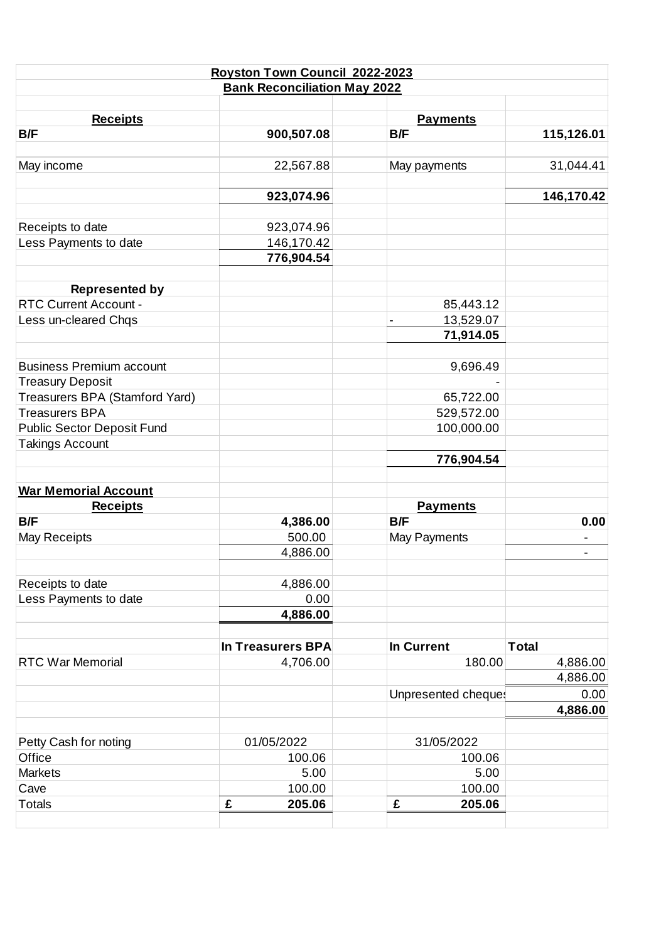|                                   | Royston Town Council 2022-2023      |                                       |              |
|-----------------------------------|-------------------------------------|---------------------------------------|--------------|
|                                   | <b>Bank Reconciliation May 2022</b> |                                       |              |
|                                   |                                     |                                       |              |
| <b>Receipts</b>                   |                                     | <b>Payments</b>                       |              |
| B/F                               | 900,507.08                          | B/F                                   | 115,126.01   |
| May income                        | 22,567.88                           | May payments                          | 31,044.41    |
|                                   | 923,074.96                          |                                       | 146,170.42   |
| Receipts to date                  | 923,074.96                          |                                       |              |
| Less Payments to date             | 146,170.42                          |                                       |              |
|                                   | 776,904.54                          |                                       |              |
| <b>Represented by</b>             |                                     |                                       |              |
| <b>RTC Current Account -</b>      |                                     | 85,443.12                             |              |
| Less un-cleared Chqs              |                                     | 13,529.07<br>$\overline{\phantom{a}}$ |              |
|                                   |                                     | 71,914.05                             |              |
| <b>Business Premium account</b>   |                                     | 9,696.49                              |              |
| <b>Treasury Deposit</b>           |                                     |                                       |              |
| Treasurers BPA (Stamford Yard)    |                                     | 65,722.00                             |              |
| <b>Treasurers BPA</b>             |                                     | 529,572.00                            |              |
| <b>Public Sector Deposit Fund</b> |                                     | 100,000.00                            |              |
| <b>Takings Account</b>            |                                     |                                       |              |
|                                   |                                     | 776,904.54                            |              |
| <b>War Memorial Account</b>       |                                     |                                       |              |
| <b>Receipts</b>                   |                                     | <b>Payments</b>                       |              |
| B/F                               | 4,386.00                            | B/F                                   | 0.00         |
| May Receipts                      | 500.00                              | May Payments                          |              |
|                                   | 4,886.00                            |                                       |              |
| Receipts to date                  | 4,886.00                            |                                       |              |
| Less Payments to date             | 0.00                                |                                       |              |
|                                   | 4,886.00                            |                                       |              |
|                                   | <b>In Treasurers BPA</b>            | In Current                            | <b>Total</b> |
| <b>RTC War Memorial</b>           | 4,706.00                            | 180.00                                | 4,886.00     |
|                                   |                                     |                                       | 4,886.00     |
|                                   |                                     | Unpresented cheques                   | 0.00         |
|                                   |                                     |                                       | 4,886.00     |
|                                   |                                     |                                       |              |
| Petty Cash for noting             | 01/05/2022                          | 31/05/2022                            |              |
| Office                            | 100.06                              | 100.06                                |              |
| <b>Markets</b>                    | 5.00                                | 5.00                                  |              |
| Cave                              | 100.00                              | 100.00                                |              |
| <b>Totals</b>                     | £<br>205.06                         | £<br>205.06                           |              |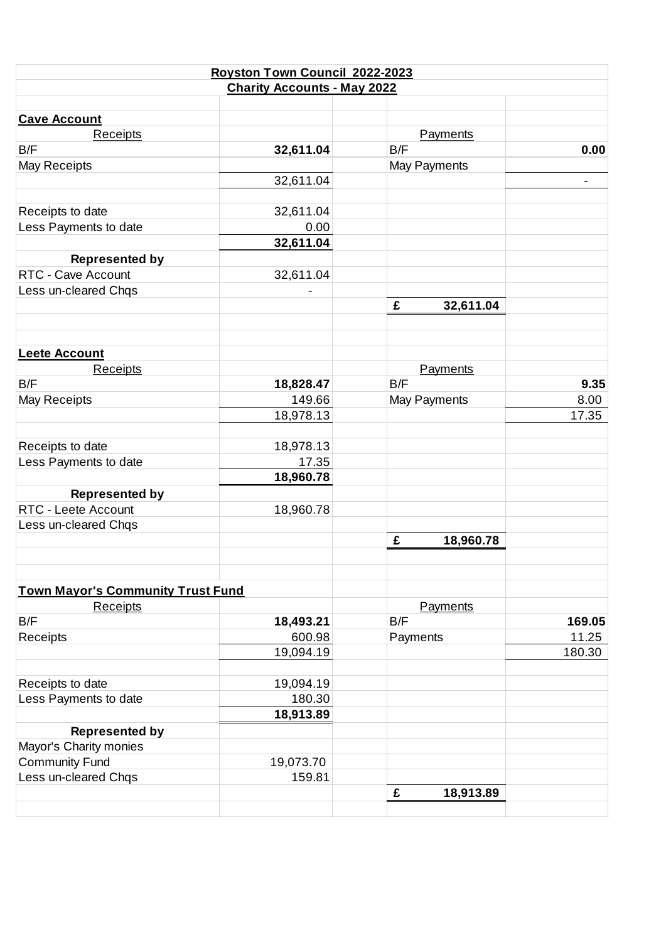|                                          | Royston Town Council 2022-2023     |                 |        |
|------------------------------------------|------------------------------------|-----------------|--------|
|                                          | <b>Charity Accounts - May 2022</b> |                 |        |
|                                          |                                    |                 |        |
| <b>Cave Account</b>                      |                                    |                 |        |
| Receipts                                 |                                    | <b>Payments</b> |        |
| B/F                                      | 32,611.04                          | B/F             | 0.00   |
| May Receipts                             |                                    | May Payments    |        |
|                                          | 32,611.04                          |                 |        |
|                                          |                                    |                 |        |
| Receipts to date                         | 32,611.04                          |                 |        |
| Less Payments to date                    | 0.00                               |                 |        |
|                                          | 32,611.04                          |                 |        |
| <b>Represented by</b>                    |                                    |                 |        |
| RTC - Cave Account                       | 32,611.04                          |                 |        |
| Less un-cleared Chqs                     |                                    |                 |        |
|                                          |                                    | £<br>32,611.04  |        |
|                                          |                                    |                 |        |
| <b>Leete Account</b>                     |                                    |                 |        |
| Receipts                                 |                                    | Payments        |        |
| B/F                                      | 18,828.47                          | B/F             | 9.35   |
| May Receipts                             | 149.66                             | May Payments    | 8.00   |
|                                          | 18,978.13                          |                 | 17.35  |
|                                          |                                    |                 |        |
| Receipts to date                         | 18,978.13                          |                 |        |
| Less Payments to date                    | 17.35                              |                 |        |
|                                          | 18,960.78                          |                 |        |
| <b>Represented by</b>                    |                                    |                 |        |
| RTC - Leete Account                      | 18,960.78                          |                 |        |
| Less un-cleared Chqs                     |                                    |                 |        |
|                                          |                                    | £<br>18,960.78  |        |
|                                          |                                    |                 |        |
|                                          |                                    |                 |        |
| <b>Town Mayor's Community Trust Fund</b> |                                    |                 |        |
| Receipts                                 |                                    | Payments        |        |
| B/F                                      | 18,493.21                          | B/F             | 169.05 |
| Receipts                                 | 600.98                             | Payments        | 11.25  |
|                                          | 19,094.19                          |                 | 180.30 |
| Receipts to date                         | 19,094.19                          |                 |        |
| Less Payments to date                    | 180.30                             |                 |        |
|                                          | 18,913.89                          |                 |        |
| <b>Represented by</b>                    |                                    |                 |        |
| Mayor's Charity monies                   |                                    |                 |        |
| <b>Community Fund</b>                    | 19,073.70                          |                 |        |
| Less un-cleared Chqs                     | 159.81                             |                 |        |
|                                          |                                    | £<br>18,913.89  |        |
|                                          |                                    |                 |        |